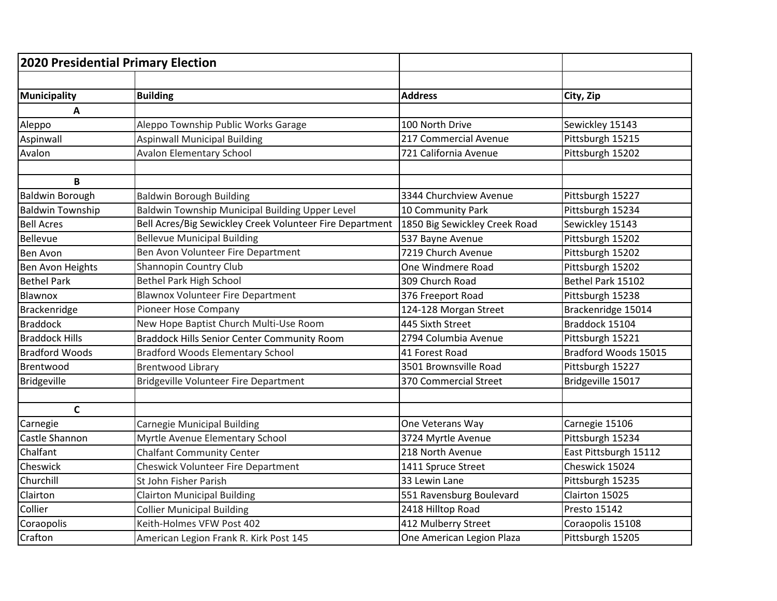| 2020 Presidential Primary Election |                                                          |                               |                       |
|------------------------------------|----------------------------------------------------------|-------------------------------|-----------------------|
|                                    |                                                          |                               |                       |
| Municipality                       | <b>Building</b>                                          | <b>Address</b>                | City, Zip             |
| A                                  |                                                          |                               |                       |
| Aleppo                             | Aleppo Township Public Works Garage                      | 100 North Drive               | Sewickley 15143       |
| Aspinwall                          | <b>Aspinwall Municipal Building</b>                      | 217 Commercial Avenue         | Pittsburgh 15215      |
| Avalon                             | <b>Avalon Elementary School</b>                          | 721 California Avenue         | Pittsburgh 15202      |
|                                    |                                                          |                               |                       |
| B                                  |                                                          |                               |                       |
| <b>Baldwin Borough</b>             | <b>Baldwin Borough Building</b>                          | 3344 Churchview Avenue        | Pittsburgh 15227      |
| <b>Baldwin Township</b>            | Baldwin Township Municipal Building Upper Level          | 10 Community Park             | Pittsburgh 15234      |
| <b>Bell Acres</b>                  | Bell Acres/Big Sewickley Creek Volunteer Fire Department | 1850 Big Sewickley Creek Road | Sewickley 15143       |
| Bellevue                           | <b>Bellevue Municipal Building</b>                       | 537 Bayne Avenue              | Pittsburgh 15202      |
| <b>Ben Avon</b>                    | Ben Avon Volunteer Fire Department                       | 7219 Church Avenue            | Pittsburgh 15202      |
| Ben Avon Heights                   | Shannopin Country Club                                   | One Windmere Road             | Pittsburgh 15202      |
| <b>Bethel Park</b>                 | <b>Bethel Park High School</b>                           | 309 Church Road               | Bethel Park 15102     |
| Blawnox                            | Blawnox Volunteer Fire Department                        | 376 Freeport Road             | Pittsburgh 15238      |
| Brackenridge                       | Pioneer Hose Company                                     | 124-128 Morgan Street         | Brackenridge 15014    |
| <b>Braddock</b>                    | New Hope Baptist Church Multi-Use Room                   | 445 Sixth Street              | Braddock 15104        |
| <b>Braddock Hills</b>              | <b>Braddock Hills Senior Center Community Room</b>       | 2794 Columbia Avenue          | Pittsburgh 15221      |
| <b>Bradford Woods</b>              | <b>Bradford Woods Elementary School</b>                  | 41 Forest Road                | Bradford Woods 15015  |
| Brentwood                          | <b>Brentwood Library</b>                                 | 3501 Brownsville Road         | Pittsburgh 15227      |
| <b>Bridgeville</b>                 | Bridgeville Volunteer Fire Department                    | 370 Commercial Street         | Bridgeville 15017     |
|                                    |                                                          |                               |                       |
| $\mathsf{C}$                       |                                                          |                               |                       |
| Carnegie                           | Carnegie Municipal Building                              | One Veterans Way              | Carnegie 15106        |
| Castle Shannon                     | Myrtle Avenue Elementary School                          | 3724 Myrtle Avenue            | Pittsburgh 15234      |
| Chalfant                           | <b>Chalfant Community Center</b>                         | 218 North Avenue              | East Pittsburgh 15112 |
| Cheswick                           | Cheswick Volunteer Fire Department                       | 1411 Spruce Street            | Cheswick 15024        |
| Churchill                          | St John Fisher Parish                                    | 33 Lewin Lane                 | Pittsburgh 15235      |
| Clairton                           | <b>Clairton Municipal Building</b>                       | 551 Ravensburg Boulevard      | Clairton 15025        |
| Collier                            | <b>Collier Municipal Building</b>                        | 2418 Hilltop Road             | Presto 15142          |
| Coraopolis                         | Keith-Holmes VFW Post 402                                | 412 Mulberry Street           | Coraopolis 15108      |
| Crafton                            | American Legion Frank R. Kirk Post 145                   | One American Legion Plaza     | Pittsburgh 15205      |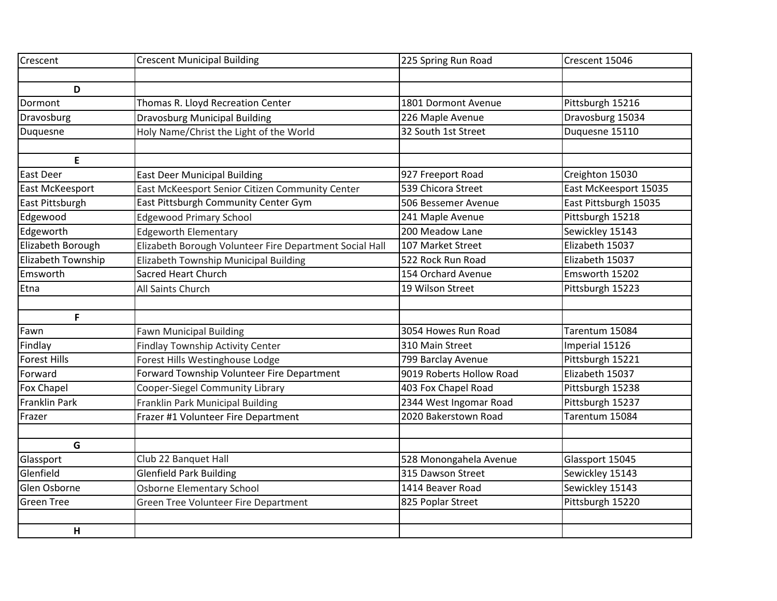| Forward             | Forward Township Volunteer Fire Department              | 9019 Roberts Hollow Road | Elizabeth 15037       |
|---------------------|---------------------------------------------------------|--------------------------|-----------------------|
| <b>Forest Hills</b> | Forest Hills Westinghouse Lodge                         | 799 Barclay Avenue       | Pittsburgh 15221      |
| Findlay             | <b>Findlay Township Activity Center</b>                 | 310 Main Street          | Imperial 15126        |
| Fawn                | <b>Fawn Municipal Building</b>                          | 3054 Howes Run Road      | Tarentum 15084        |
| F                   |                                                         |                          |                       |
|                     |                                                         |                          |                       |
| Etna                | All Saints Church                                       | 19 Wilson Street         | Pittsburgh 15223      |
| Emsworth            | <b>Sacred Heart Church</b>                              | 154 Orchard Avenue       | Emsworth 15202        |
| Elizabeth Township  | Elizabeth Township Municipal Building                   | 522 Rock Run Road        | Elizabeth 15037       |
|                     |                                                         |                          |                       |
| Elizabeth Borough   | Elizabeth Borough Volunteer Fire Department Social Hall | 107 Market Street        | Elizabeth 15037       |
| Edgeworth           | <b>Edgeworth Elementary</b>                             | 200 Meadow Lane          | Sewickley 15143       |
| Edgewood            | <b>Edgewood Primary School</b>                          | 241 Maple Avenue         | Pittsburgh 15218      |
| East Pittsburgh     | East Pittsburgh Community Center Gym                    | 506 Bessemer Avenue      | East Pittsburgh 15035 |
| East McKeesport     | East McKeesport Senior Citizen Community Center         | 539 Chicora Street       | East McKeesport 15035 |
| East Deer           | <b>East Deer Municipal Building</b>                     | 927 Freeport Road        | Creighton 15030       |
| E                   |                                                         |                          |                       |
|                     |                                                         |                          |                       |
| Duquesne            | Holy Name/Christ the Light of the World                 | 32 South 1st Street      | Duquesne 15110        |
| Dravosburg          | <b>Dravosburg Municipal Building</b>                    | 226 Maple Avenue         | Dravosburg 15034      |
| Dormont             | Thomas R. Lloyd Recreation Center                       | 1801 Dormont Avenue      | Pittsburgh 15216      |
| D                   |                                                         |                          |                       |
|                     |                                                         |                          |                       |
| Crescent            | <b>Crescent Municipal Building</b>                      | 225 Spring Run Road      | Crescent 15046        |
|                     |                                                         |                          |                       |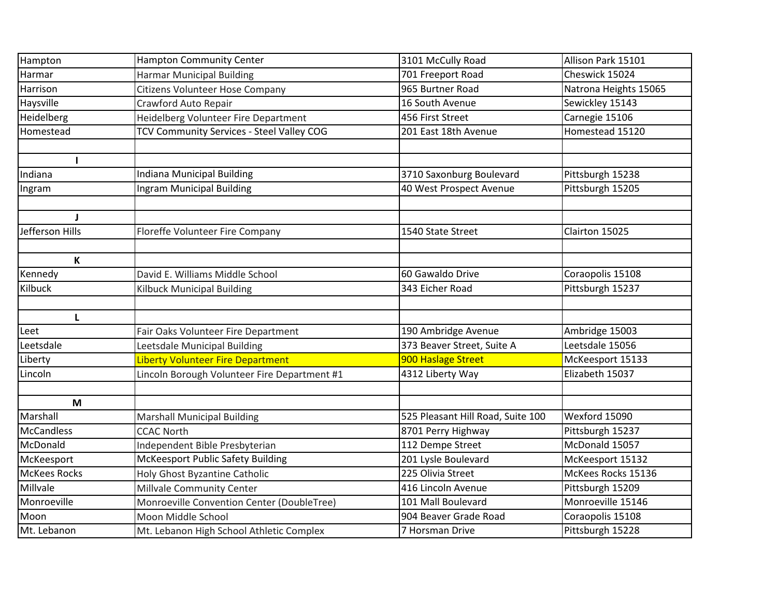| Hampton             | <b>Hampton Community Center</b>              | 3101 McCully Road                 | Allison Park 15101    |
|---------------------|----------------------------------------------|-----------------------------------|-----------------------|
| Harmar              | <b>Harmar Municipal Building</b>             | 701 Freeport Road                 | Cheswick 15024        |
| Harrison            | Citizens Volunteer Hose Company              | 965 Burtner Road                  | Natrona Heights 15065 |
| Haysville           | Crawford Auto Repair                         | 16 South Avenue                   | Sewickley 15143       |
| Heidelberg          | Heidelberg Volunteer Fire Department         | 456 First Street                  | Carnegie 15106        |
| Homestead           | TCV Community Services - Steel Valley COG    | 201 East 18th Avenue              | Homestead 15120       |
|                     |                                              |                                   |                       |
|                     |                                              |                                   |                       |
| Indiana             | Indiana Municipal Building                   | 3710 Saxonburg Boulevard          | Pittsburgh 15238      |
| Ingram              | Ingram Municipal Building                    | 40 West Prospect Avenue           | Pittsburgh 15205      |
|                     |                                              |                                   |                       |
| J                   |                                              |                                   |                       |
| Jefferson Hills     | Floreffe Volunteer Fire Company              | 1540 State Street                 | Clairton 15025        |
|                     |                                              |                                   |                       |
| $\mathbf K$         |                                              |                                   |                       |
| Kennedy             | David E. Williams Middle School              | 60 Gawaldo Drive                  | Coraopolis 15108      |
| Kilbuck             | Kilbuck Municipal Building                   | 343 Eicher Road                   | Pittsburgh 15237      |
|                     |                                              |                                   |                       |
| L                   |                                              |                                   |                       |
| Leet                | Fair Oaks Volunteer Fire Department          | 190 Ambridge Avenue               | Ambridge 15003        |
| Leetsdale           | Leetsdale Municipal Building                 | 373 Beaver Street, Suite A        | Leetsdale 15056       |
| Liberty             | Liberty Volunteer Fire Department            | 900 Haslage Street                | McKeesport 15133      |
| Lincoln             | Lincoln Borough Volunteer Fire Department #1 | 4312 Liberty Way                  | Elizabeth 15037       |
|                     |                                              |                                   |                       |
| M                   |                                              |                                   |                       |
| Marshall            | <b>Marshall Municipal Building</b>           | 525 Pleasant Hill Road, Suite 100 | Wexford 15090         |
| <b>McCandless</b>   | <b>CCAC North</b>                            | 8701 Perry Highway                | Pittsburgh 15237      |
| McDonald            | Independent Bible Presbyterian               | 112 Dempe Street                  | McDonald 15057        |
| McKeesport          | <b>McKeesport Public Safety Building</b>     | 201 Lysle Boulevard               | McKeesport 15132      |
| <b>McKees Rocks</b> | Holy Ghost Byzantine Catholic                | 225 Olivia Street                 | McKees Rocks 15136    |
| Millvale            | Millvale Community Center                    | 416 Lincoln Avenue                | Pittsburgh 15209      |
| Monroeville         | Monroeville Convention Center (DoubleTree)   | 101 Mall Boulevard                | Monroeville 15146     |
| Moon                | Moon Middle School                           | 904 Beaver Grade Road             | Coraopolis 15108      |
| Mt. Lebanon         | Mt. Lebanon High School Athletic Complex     | 7 Horsman Drive                   | Pittsburgh 15228      |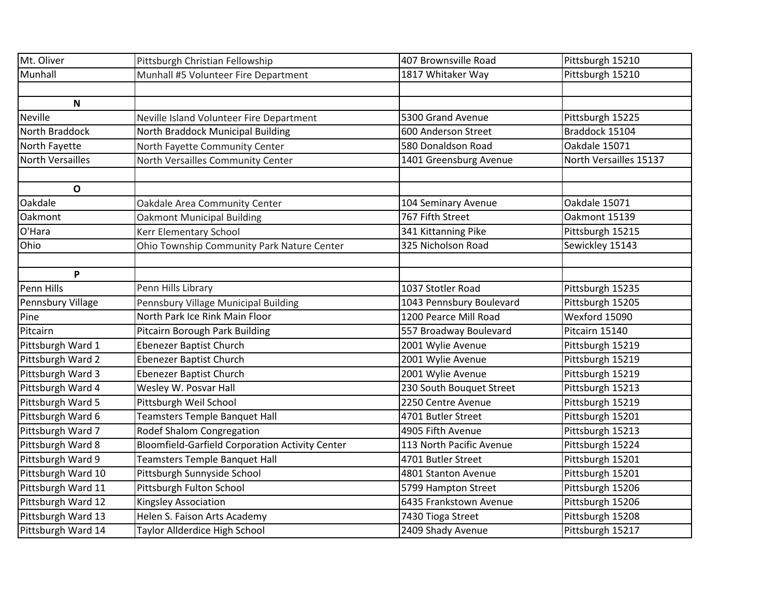| Mt. Oliver              | Pittsburgh Christian Fellowship                        | 407 Brownsville Road     | Pittsburgh 15210       |
|-------------------------|--------------------------------------------------------|--------------------------|------------------------|
| Munhall                 | Munhall #5 Volunteer Fire Department                   | 1817 Whitaker Way        | Pittsburgh 15210       |
|                         |                                                        |                          |                        |
| N                       |                                                        |                          |                        |
| <b>Neville</b>          | Neville Island Volunteer Fire Department               | 5300 Grand Avenue        | Pittsburgh 15225       |
| North Braddock          | North Braddock Municipal Building                      | 600 Anderson Street      | Braddock 15104         |
| North Fayette           | North Fayette Community Center                         | 580 Donaldson Road       | Oakdale 15071          |
| <b>North Versailles</b> | North Versailles Community Center                      | 1401 Greensburg Avenue   | North Versailles 15137 |
|                         |                                                        |                          |                        |
| $\mathbf{o}$            |                                                        |                          |                        |
| Oakdale                 | Oakdale Area Community Center                          | 104 Seminary Avenue      | Oakdale 15071          |
| Oakmont                 | <b>Oakmont Municipal Building</b>                      | 767 Fifth Street         | Oakmont 15139          |
| O'Hara                  | Kerr Elementary School                                 | 341 Kittanning Pike      | Pittsburgh 15215       |
| Ohio                    | Ohio Township Community Park Nature Center             | 325 Nicholson Road       | Sewickley 15143        |
|                         |                                                        |                          |                        |
| P                       |                                                        |                          |                        |
| Penn Hills              | Penn Hills Library                                     | 1037 Stotler Road        | Pittsburgh 15235       |
| Pennsbury Village       | Pennsbury Village Municipal Building                   | 1043 Pennsbury Boulevard | Pittsburgh 15205       |
| Pine                    | North Park Ice Rink Main Floor                         | 1200 Pearce Mill Road    | Wexford 15090          |
| Pitcairn                | Pitcairn Borough Park Building                         | 557 Broadway Boulevard   | Pitcairn 15140         |
| Pittsburgh Ward 1       | Ebenezer Baptist Church                                | 2001 Wylie Avenue        | Pittsburgh 15219       |
| Pittsburgh Ward 2       | Ebenezer Baptist Church                                | 2001 Wylie Avenue        | Pittsburgh 15219       |
| Pittsburgh Ward 3       | Ebenezer Baptist Church                                | 2001 Wylie Avenue        | Pittsburgh 15219       |
| Pittsburgh Ward 4       | Wesley W. Posvar Hall                                  | 230 South Bouquet Street | Pittsburgh 15213       |
| Pittsburgh Ward 5       | Pittsburgh Weil School                                 | 2250 Centre Avenue       | Pittsburgh 15219       |
| Pittsburgh Ward 6       | Teamsters Temple Banquet Hall                          | 4701 Butler Street       | Pittsburgh 15201       |
| Pittsburgh Ward 7       | Rodef Shalom Congregation                              | 4905 Fifth Avenue        | Pittsburgh 15213       |
| Pittsburgh Ward 8       | <b>Bloomfield-Garfield Corporation Activity Center</b> | 113 North Pacific Avenue | Pittsburgh 15224       |
| Pittsburgh Ward 9       | <b>Teamsters Temple Banquet Hall</b>                   | 4701 Butler Street       | Pittsburgh 15201       |
| Pittsburgh Ward 10      | Pittsburgh Sunnyside School                            | 4801 Stanton Avenue      | Pittsburgh 15201       |
| Pittsburgh Ward 11      | Pittsburgh Fulton School                               | 5799 Hampton Street      | Pittsburgh 15206       |
| Pittsburgh Ward 12      | Kingsley Association                                   | 6435 Frankstown Avenue   | Pittsburgh 15206       |
| Pittsburgh Ward 13      | Helen S. Faison Arts Academy                           | 7430 Tioga Street        | Pittsburgh 15208       |
| Pittsburgh Ward 14      | Taylor Allderdice High School                          | 2409 Shady Avenue        | Pittsburgh 15217       |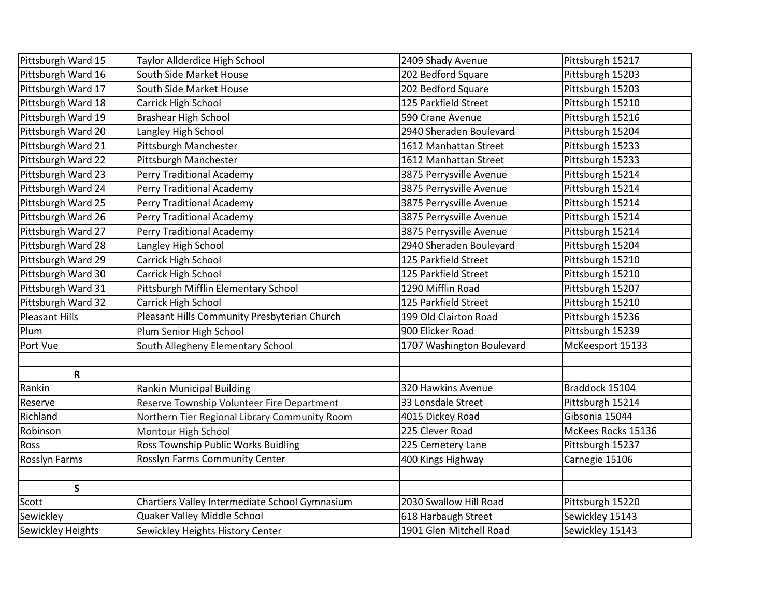| Pittsburgh Ward 15       | Taylor Allderdice High School                  | 2409 Shady Avenue         | Pittsburgh 15217   |
|--------------------------|------------------------------------------------|---------------------------|--------------------|
| Pittsburgh Ward 16       | South Side Market House                        | 202 Bedford Square        | Pittsburgh 15203   |
| Pittsburgh Ward 17       | South Side Market House                        | 202 Bedford Square        | Pittsburgh 15203   |
| Pittsburgh Ward 18       | Carrick High School                            | 125 Parkfield Street      | Pittsburgh 15210   |
| Pittsburgh Ward 19       | <b>Brashear High School</b>                    | 590 Crane Avenue          | Pittsburgh 15216   |
| Pittsburgh Ward 20       | Langley High School                            | 2940 Sheraden Boulevard   | Pittsburgh 15204   |
| Pittsburgh Ward 21       | Pittsburgh Manchester                          | 1612 Manhattan Street     | Pittsburgh 15233   |
| Pittsburgh Ward 22       | Pittsburgh Manchester                          | 1612 Manhattan Street     | Pittsburgh 15233   |
| Pittsburgh Ward 23       | Perry Traditional Academy                      | 3875 Perrysville Avenue   | Pittsburgh 15214   |
| Pittsburgh Ward 24       | Perry Traditional Academy                      | 3875 Perrysville Avenue   | Pittsburgh 15214   |
| Pittsburgh Ward 25       | Perry Traditional Academy                      | 3875 Perrysville Avenue   | Pittsburgh 15214   |
| Pittsburgh Ward 26       | Perry Traditional Academy                      | 3875 Perrysville Avenue   | Pittsburgh 15214   |
| Pittsburgh Ward 27       | Perry Traditional Academy                      | 3875 Perrysville Avenue   | Pittsburgh 15214   |
| Pittsburgh Ward 28       | Langley High School                            | 2940 Sheraden Boulevard   | Pittsburgh 15204   |
| Pittsburgh Ward 29       | Carrick High School                            | 125 Parkfield Street      | Pittsburgh 15210   |
| Pittsburgh Ward 30       | Carrick High School                            | 125 Parkfield Street      | Pittsburgh 15210   |
| Pittsburgh Ward 31       | Pittsburgh Mifflin Elementary School           | 1290 Mifflin Road         | Pittsburgh 15207   |
| Pittsburgh Ward 32       | Carrick High School                            | 125 Parkfield Street      | Pittsburgh 15210   |
| <b>Pleasant Hills</b>    | Pleasant Hills Community Presbyterian Church   | 199 Old Clairton Road     | Pittsburgh 15236   |
| Plum                     | Plum Senior High School                        | 900 Elicker Road          | Pittsburgh 15239   |
| Port Vue                 | South Allegheny Elementary School              | 1707 Washington Boulevard | McKeesport 15133   |
|                          |                                                |                           |                    |
| R                        |                                                |                           |                    |
| Rankin                   | <b>Rankin Municipal Building</b>               | 320 Hawkins Avenue        | Braddock 15104     |
| Reserve                  | Reserve Township Volunteer Fire Department     | 33 Lonsdale Street        | Pittsburgh 15214   |
| Richland                 | Northern Tier Regional Library Community Room  | 4015 Dickey Road          | Gibsonia 15044     |
| Robinson                 | Montour High School                            | 225 Clever Road           | McKees Rocks 15136 |
| Ross                     | Ross Township Public Works Buidling            | 225 Cemetery Lane         | Pittsburgh 15237   |
| Rosslyn Farms            | Rosslyn Farms Community Center                 | 400 Kings Highway         | Carnegie 15106     |
|                          |                                                |                           |                    |
| S                        |                                                |                           |                    |
| Scott                    | Chartiers Valley Intermediate School Gymnasium | 2030 Swallow Hill Road    | Pittsburgh 15220   |
| Sewickley                | Quaker Valley Middle School                    | 618 Harbaugh Street       | Sewickley 15143    |
| <b>Sewickley Heights</b> | Sewickley Heights History Center               | 1901 Glen Mitchell Road   | Sewickley 15143    |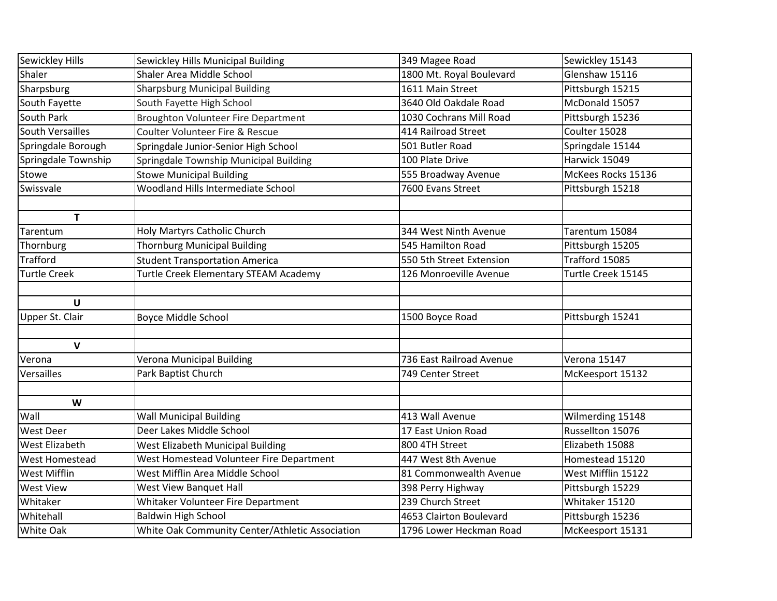| Sewickley Hills         | Sewickley Hills Municipal Building              | 349 Magee Road           | Sewickley 15143     |
|-------------------------|-------------------------------------------------|--------------------------|---------------------|
| Shaler                  | Shaler Area Middle School                       | 1800 Mt. Royal Boulevard | Glenshaw 15116      |
| Sharpsburg              | <b>Sharpsburg Municipal Building</b>            | 1611 Main Street         | Pittsburgh 15215    |
| South Fayette           | South Fayette High School                       | 3640 Old Oakdale Road    | McDonald 15057      |
| South Park              | <b>Broughton Volunteer Fire Department</b>      | 1030 Cochrans Mill Road  | Pittsburgh 15236    |
| <b>South Versailles</b> | Coulter Volunteer Fire & Rescue                 | 414 Railroad Street      | Coulter 15028       |
| Springdale Borough      | Springdale Junior-Senior High School            | 501 Butler Road          | Springdale 15144    |
| Springdale Township     | Springdale Township Municipal Building          | 100 Plate Drive          | Harwick 15049       |
| Stowe                   | <b>Stowe Municipal Building</b>                 | 555 Broadway Avenue      | McKees Rocks 15136  |
| Swissvale               | Woodland Hills Intermediate School              | 7600 Evans Street        | Pittsburgh 15218    |
|                         |                                                 |                          |                     |
| $\mathbf T$             |                                                 |                          |                     |
| Tarentum                | Holy Martyrs Catholic Church                    | 344 West Ninth Avenue    | Tarentum 15084      |
| Thornburg               | <b>Thornburg Municipal Building</b>             | 545 Hamilton Road        | Pittsburgh 15205    |
| <b>Trafford</b>         | <b>Student Transportation America</b>           | 550 5th Street Extension | Trafford 15085      |
| <b>Turtle Creek</b>     | Turtle Creek Elementary STEAM Academy           | 126 Monroeville Avenue   | Turtle Creek 15145  |
|                         |                                                 |                          |                     |
| U                       |                                                 |                          |                     |
| Upper St. Clair         | <b>Boyce Middle School</b>                      | 1500 Boyce Road          | Pittsburgh 15241    |
|                         |                                                 |                          |                     |
| $\mathbf v$             |                                                 |                          |                     |
| Verona                  | Verona Municipal Building                       | 736 East Railroad Avenue | <b>Verona 15147</b> |
| Versailles              | Park Baptist Church                             | 749 Center Street        | McKeesport 15132    |
|                         |                                                 |                          |                     |
| W                       |                                                 |                          |                     |
| Wall                    | <b>Wall Municipal Building</b>                  | 413 Wall Avenue          | Wilmerding 15148    |
| <b>West Deer</b>        | Deer Lakes Middle School                        | 17 East Union Road       | Russellton 15076    |
| <b>West Elizabeth</b>   | West Elizabeth Municipal Building               | 800 4TH Street           | Elizabeth 15088     |
| <b>West Homestead</b>   | West Homestead Volunteer Fire Department        | 447 West 8th Avenue      | Homestead 15120     |
| <b>West Mifflin</b>     | West Mifflin Area Middle School                 | 81 Commonwealth Avenue   | West Mifflin 15122  |
| <b>West View</b>        | West View Banquet Hall                          | 398 Perry Highway        | Pittsburgh 15229    |
| Whitaker                | Whitaker Volunteer Fire Department              | 239 Church Street        | Whitaker 15120      |
| Whitehall               | <b>Baldwin High School</b>                      | 4653 Clairton Boulevard  | Pittsburgh 15236    |
| <b>White Oak</b>        | White Oak Community Center/Athletic Association | 1796 Lower Heckman Road  | McKeesport 15131    |